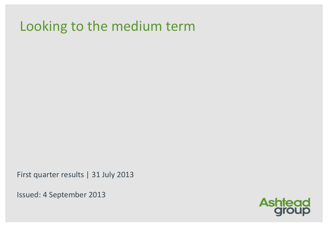# Looking to the medium term

First quarter results | 31 July 2013

Issued: 4 September 2013

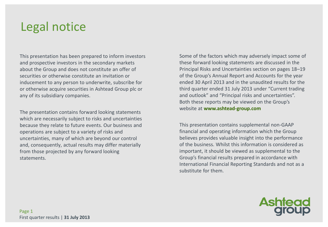# Legal notice

This presentation has been prepared to inform investors and prospective investors in the secondary markets about the Group and does not constitute an offer of securities or otherwise constitute an invitation or inducement to any person to underwrite, subscribe for or otherwise acquire securities in Ashtead Group plc or any of its subsidiary companies.

The presentation contains forward looking statements which are necessarily subject to risks and uncertainties because they relate to future events. Our business and operations are subject to a variety of risks and uncertainties, many of which are beyond our control and, consequently, actual results may differ materially from those projected by any forward looking statements.

Some of the factors which may adversely impact some of these forward looking statements are discussed in the Principal Risks and Uncertainties section on pages 18–19 of the Group's Annual Report and Accounts for the year ended 30 April 2013 and in the unaudited results for the third quarter ended 31 July 2013 under "Current trading and outlook" and "Principal risks and uncertainties". Both these reports may be viewed on the Group's website at **www.ashtead-group.com**

This presentation contains supplemental non-GAAP financial and operating information which the Group believes provides valuable insight into the performance of the business. Whilst this information is considered as important, it should be viewed as supplemental to the Group's financial results prepared in accordance with International Financial Reporting Standards and not as a substitute for them.

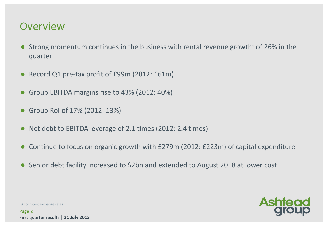#### **Overview**

- Strong momentum continues in the business with rental revenue growth<sup>1</sup> of 26% in the quarter
- Record Q1 pre-tax profit of £99m (2012: £61m)
- Group EBITDA margins rise to 43% (2012: 40%)
- Group RoI of 17% (2012: 13%)
- Net debt to EBITDA leverage of 2.1 times (2012: 2.4 times)
- Continue to focus on organic growth with £279m (2012: £223m) of capital expenditure
- Senior debt facility increased to \$2bn and extended to August 2018 at lower cost



<sup>1</sup> At constant exchange rates

Page 2 First quarter results | **31 July 2013**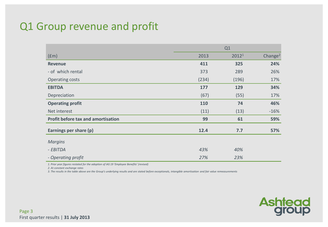## Q1 Group revenue and profit

|                                           | Q1    |       |                     |  |  |
|-------------------------------------------|-------|-------|---------------------|--|--|
| (fm)                                      | 2013  | 20121 | Change <sup>2</sup> |  |  |
| <b>Revenue</b>                            | 411   | 325   | 24%                 |  |  |
| - of which rental                         | 373   | 289   | 26%                 |  |  |
| Operating costs                           | (234) | (196) | 17%                 |  |  |
| <b>EBITDA</b>                             | 177   | 129   | 34%                 |  |  |
| Depreciation                              | (67)  | (55)  | 17%                 |  |  |
| <b>Operating profit</b>                   | 110   | 74    | 46%                 |  |  |
| Net interest                              | (11)  | (13)  | $-16%$              |  |  |
| <b>Profit before tax and amortisation</b> | 99    | 61    | 59%                 |  |  |
| Earnings per share (p)                    | 12.4  | 7.7   | 57%                 |  |  |
| <b>Margins</b>                            |       |       |                     |  |  |
| - EBITDA                                  | 43%   | 40%   |                     |  |  |
| - Operating profit                        | 27%   | 23%   |                     |  |  |

*1. Prior year figures restated for the adoption of IAS 19 'Employee Benefits' (revised)*

*2. At constant exchange rates* 

*3. The results in the table above are the Group's underlying results and are stated before exceptionals, intangible amortisation and fair value remeasurements*

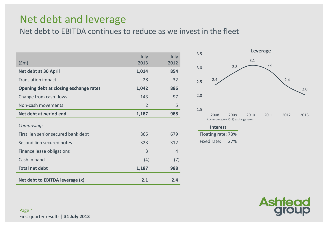#### Net debt and leverage

Net debt to EBITDA continues to reduce as we invest in the fleet

| $(\text{fm})$                          | July<br>2013   | July<br>2012   |
|----------------------------------------|----------------|----------------|
| Net debt at 30 April                   | 1,014          | 854            |
| <b>Translation impact</b>              | 28             | 32             |
| Opening debt at closing exchange rates | 1,042          | 886            |
| Change from cash flows                 | 143            | 97             |
| Non-cash movements                     | $\overline{2}$ | 5              |
| Net debt at period end                 | 1,187          | 988            |
| Comprising:                            |                |                |
| First lien senior secured bank debt    | 865            | 679            |
| Second lien secured notes              | 323            | 312            |
| Finance lease obligations              | 3              | $\overline{4}$ |
| Cash in hand                           | (4)            | (7)            |
| <b>Total net debt</b>                  | 1,187          | 988            |
| Net debt to EBITDA leverage (x)        | 2.1            | 2.4            |



#### **Interest**

Floating rate: 73% Fixed rate: 27%

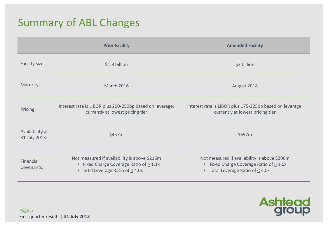### Summary of ABL Changes

|                                  | <b>Prior Facility</b>                                                                                                                                       | <b>Amended Facility</b>                                                                                                                                     |
|----------------------------------|-------------------------------------------------------------------------------------------------------------------------------------------------------------|-------------------------------------------------------------------------------------------------------------------------------------------------------------|
| Facility size:                   | \$1.8 billion                                                                                                                                               | \$2 billion                                                                                                                                                 |
| Maturity:                        | <b>March 2016</b>                                                                                                                                           | August 2018                                                                                                                                                 |
| Pricing:                         | Interest rate is LIBOR plus 200-250bp based on leverage;<br>currently at lowest pricing tier                                                                | Interest rate is LIBOR plus 175-225bp based on leverage;<br>currently at lowest pricing tier                                                                |
| Availability at<br>31 July 2013: | \$457m                                                                                                                                                      | \$657m                                                                                                                                                      |
| Financial<br>Covenants:          | Not measured if availability is above \$216m<br>Fixed Charge Coverage Ratio of $\geq 1.1x$<br>$\bullet$<br>Total Leverage Ratio of $\leq$ 4.0x<br>$\bullet$ | Not measured if availability is above \$200m<br>Fixed Charge Coverage Ratio of $\geq 1.0x$<br>$\bullet$<br>Total Leverage Ratio of $\leq$ 4.0x<br>$\bullet$ |

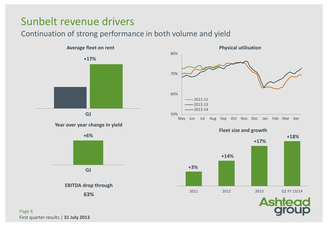## Sunbelt revenue drivers

#### Continuation of strong performance in both volume and yield



#### **Year over year change in yield**



50% 60% 70% 80% 2011-12  $-2012-13$  $-2013-14$ 





**Ash** 

Page 6 First quarter results | **31 July 2013**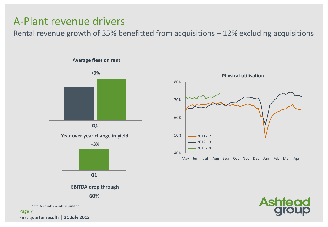#### A-Plant revenue drivers

Rental revenue growth of 35% benefitted from acquisitions – 12% excluding acquisitions

#### **Average fleet on rent**



Note: Amounts exclude acquisitions

Page 7 First quarter results | **31 July 2013**



**Ashte**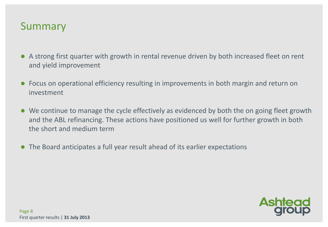#### Summary

- A strong first quarter with growth in rental revenue driven by both increased fleet on rent and yield improvement
- Focus on operational efficiency resulting in improvements in both margin and return on investment
- We continue to manage the cycle effectively as evidenced by both the on going fleet growth and the ABL refinancing. These actions have positioned us well for further growth in both the short and medium term
- The Board anticipates a full year result ahead of its earlier expectations

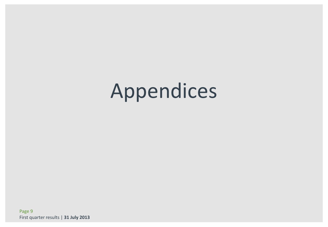# Appendices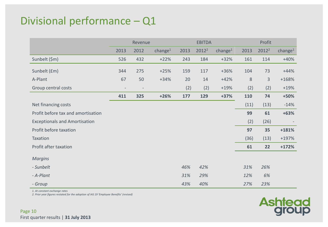## Divisional performance – Q1

|                                      |                          | Revenue |            |      | <b>EBITDA</b>     |                     |      | Profit            |                     |
|--------------------------------------|--------------------------|---------|------------|------|-------------------|---------------------|------|-------------------|---------------------|
|                                      | 2013                     | 2012    | change $1$ | 2013 | 2012 <sup>2</sup> | change <sup>1</sup> | 2013 | 2012 <sup>2</sup> | change <sup>1</sup> |
| Sunbelt (\$m)                        | 526                      | 432     | $+22%$     | 243  | 184               | $+32%$              | 161  | 114               | $+40%$              |
| Sunbelt (£m)                         | 344                      | 275     | $+25%$     | 159  | 117               | $+36%$              | 104  | 73                | $+44%$              |
| A-Plant                              | 67                       | 50      | $+34%$     | 20   | 14                | $+42%$              | 8    | $\mathbf{3}$      | $+168%$             |
| Group central costs                  | $\overline{\phantom{a}}$ |         |            | (2)  | (2)               | $+19%$              | (2)  | (2)               | $+19%$              |
|                                      | 411                      | 325     | $+26%$     | 177  | 129               | $+37%$              | 110  | 74                | $+50%$              |
| Net financing costs                  |                          |         |            |      |                   |                     | (11) | (13)              | $-14%$              |
| Profit before tax and amortisation   |                          |         |            |      |                   |                     | 99   | 61                | $+63%$              |
| <b>Exceptionals and Amortisation</b> |                          |         |            |      |                   |                     | (2)  | (26)              |                     |
| Profit before taxation               |                          |         |            |      |                   |                     | 97   | 35                | $+181%$             |
| Taxation                             |                          |         |            |      |                   |                     | (36) | (13)              | $+197%$             |
| Profit after taxation                |                          |         |            |      |                   |                     | 61   | 22                | $+172%$             |
| <b>Margins</b>                       |                          |         |            |      |                   |                     |      |                   |                     |
| - Sunbelt                            |                          |         |            | 46%  | 42%               |                     | 31%  | 26%               |                     |
| - A-Plant                            |                          |         |            | 31%  | 29%               |                     | 12%  | 6%                |                     |
| - Group                              |                          |         |            | 43%  | 40%               |                     | 27%  | 23%               |                     |

*1. At constant exchange rates*

*2. Prior year figures restated for the adoption of IAS 19 'Employee Benefits' (revised)*

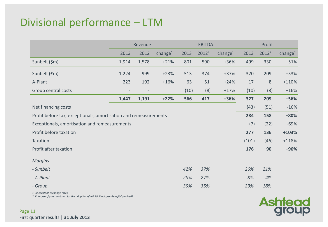## Divisional performance – LTM

|                                                                  | Revenue |       |            | <b>EBITDA</b> |                   |            | Profit |                   |                     |
|------------------------------------------------------------------|---------|-------|------------|---------------|-------------------|------------|--------|-------------------|---------------------|
|                                                                  | 2013    | 2012  | change $1$ | 2013          | 2012 <sup>2</sup> | change $1$ | 2013   | 2012 <sup>2</sup> | change <sup>1</sup> |
| Sunbelt (\$m)                                                    | 1,914   | 1,578 | $+21%$     | 801           | 590               | $+36%$     | 499    | 330               | $+51%$              |
| Sunbelt (£m)                                                     | 1,224   | 999   | $+23%$     | 513           | 374               | $+37%$     | 320    | 209               | $+53%$              |
| A-Plant                                                          | 223     | 192   | $+16%$     | 63            | 51                | $+24%$     | 17     | 8                 | $+110%$             |
| Group central costs                                              |         |       |            | (10)          | (8)               | $+17%$     | (10)   | (8)               | $+16%$              |
|                                                                  | 1,447   | 1,191 | $+22%$     | 566           | 417               | +36%       | 327    | 209               | +56%                |
| Net financing costs                                              |         |       |            |               |                   |            | (43)   | (51)              | $-16%$              |
| Profit before tax, exceptionals, amortisation and remeasurements |         |       |            |               |                   |            |        | 158               | +80%                |
| Exceptionals, amortisation and remeasurements                    |         |       |            |               |                   |            | (7)    | (22)              | $-69%$              |
| Profit before taxation                                           |         |       |            |               |                   |            | 277    | 136               | +103%               |
| Taxation                                                         |         |       |            |               |                   |            | (101)  | (46)              | $+118%$             |
| Profit after taxation                                            |         |       |            |               |                   |            | 176    | 90                | +96%                |
| <b>Margins</b>                                                   |         |       |            |               |                   |            |        |                   |                     |
| - Sunbelt                                                        |         |       |            | 42%           | 37%               |            | 26%    | 21%               |                     |
| - A-Plant                                                        |         |       |            | 28%           | 27%               |            | 8%     | 4%                |                     |
| - Group                                                          |         |       |            | 39%           | 35%               |            | 23%    | 18%               |                     |

*1. At constant exchange rates*

*2. Prior year figures restated for the adoption of IAS 19 'Employee Benefits' (revised)*

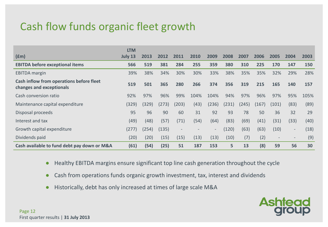## Cash flow funds organic fleet growth

|                                                                      | <b>LTM</b> |       |       |                          |      |       |       |       |       |                          |        |      |
|----------------------------------------------------------------------|------------|-------|-------|--------------------------|------|-------|-------|-------|-------|--------------------------|--------|------|
| $(\text{fm})$                                                        | July 13    | 2013  | 2012  | 2011                     | 2010 | 2009  | 2008  | 2007  | 2006  | 2005                     | 2004   | 2003 |
| <b>EBITDA before exceptional items</b>                               | 566        | 519   | 381   | 284                      | 255  | 359   | 380   | 310   | 225   | 170                      | 147    | 150  |
| <b>EBITDA</b> margin                                                 | 39%        | 38%   | 34%   | 30%                      | 30%  | 33%   | 38%   | 35%   | 35%   | 32%                      | 29%    | 28%  |
| Cash inflow from operations before fleet<br>changes and exceptionals | 519        | 501   | 365   | 280                      | 266  | 374   | 356   | 319   | 215   | 165                      | 140    | 157  |
| Cash conversion ratio                                                | 92%        | 97%   | 96%   | 99%                      | 104% | 104%  | 94%   | 97%   | 96%   | 97%                      | 95%    | 105% |
| Maintenance capital expenditure                                      | (329)      | (329) | (273) | (203)                    | (43) | (236) | (231) | (245) | (167) | (101)                    | (83)   | (89) |
| Disposal proceeds                                                    | 95         | 96    | 90    | 60                       | 31   | 92    | 93    | 78    | 50    | 36                       | 32     | 29   |
| Interest and tax                                                     | (49)       | (48)  | (57)  | (71)                     | (54) | (64)  | (83)  | (69)  | (41)  | (31)                     | (33)   | (40) |
| Growth capital expenditure                                           | (277)      | (254) | (135) | $\overline{\phantom{a}}$ |      | -     | (120) | (63)  | (63)  | (10)                     | $\sim$ | (18) |
| Dividends paid                                                       | (20)       | (20)  | (15)  | (15)                     | (13) | (13)  | (10)  | (7)   | (2)   | $\overline{\phantom{a}}$ | $\sim$ | (9)  |
| Cash available to fund debt pay down or M&A                          | (61)       | (54)  | (25)  | 51                       | 187  | 153   | 5     | 13    | (8)   | 59                       | 56     | 30   |

- Healthy EBITDA margins ensure significant top line cash generation throughout the cycle
- Cash from operations funds organic growth investment, tax, interest and dividends
- Historically, debt has only increased at times of large scale M&A

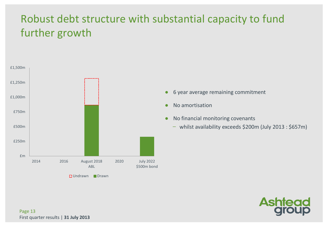# Robust debt structure with substantial capacity to fund further growth



● 6 year average remaining commitment

- No amortisation
- No financial monitoring covenants
	- whilst availability exceeds \$200m (July 2013 : \$657m)

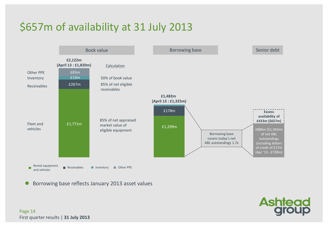# \$657m of availability at 31 July 2013



Borrowing base reflects January 2013 asset values